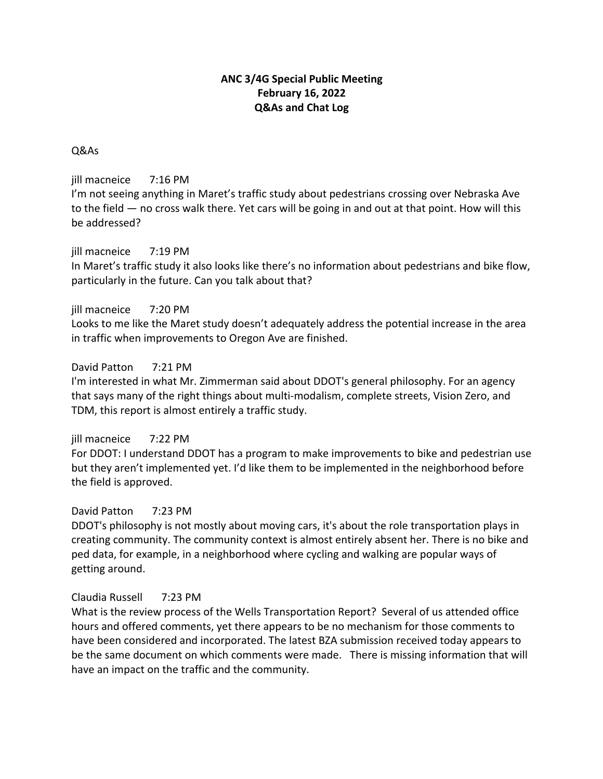# **ANC 3/4G Special Public Meeting February 16, 2022 Q&As and Chat Log**

# Q&As

jill macneice 7:16 PM

I'm not seeing anything in Maret's traffic study about pedestrians crossing over Nebraska Ave to the field — no cross walk there. Yet cars will be going in and out at that point. How will this be addressed?

# jill macneice 7:19 PM

In Maret's traffic study it also looks like there's no information about pedestrians and bike flow, particularly in the future. Can you talk about that?

# jill macneice 7:20 PM

Looks to me like the Maret study doesn't adequately address the potential increase in the area in traffic when improvements to Oregon Ave are finished.

# David Patton 7:21 PM

I'm interested in what Mr. Zimmerman said about DDOT's general philosophy. For an agency that says many of the right things about multi-modalism, complete streets, Vision Zero, and TDM, this report is almost entirely a traffic study.

## jill macneice 7:22 PM

For DDOT: I understand DDOT has a program to make improvements to bike and pedestrian use but they aren't implemented yet. I'd like them to be implemented in the neighborhood before the field is approved.

# David Patton 7:23 PM

DDOT's philosophy is not mostly about moving cars, it's about the role transportation plays in creating community. The community context is almost entirely absent her. There is no bike and ped data, for example, in a neighborhood where cycling and walking are popular ways of getting around.

## Claudia Russell 7:23 PM

What is the review process of the Wells Transportation Report? Several of us attended office hours and offered comments, yet there appears to be no mechanism for those comments to have been considered and incorporated. The latest BZA submission received today appears to be the same document on which comments were made. There is missing information that will have an impact on the traffic and the community.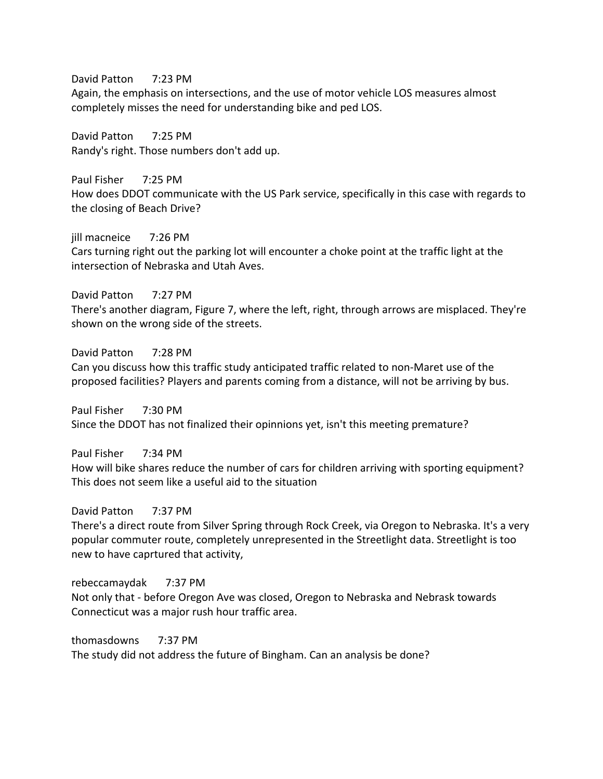David Patton 7:23 PM

Again, the emphasis on intersections, and the use of motor vehicle LOS measures almost completely misses the need for understanding bike and ped LOS.

David Patton 7:25 PM Randy's right. Those numbers don't add up.

Paul Fisher 7:25 PM How does DDOT communicate with the US Park service, specifically in this case with regards to the closing of Beach Drive?

jill macneice 7:26 PM Cars turning right out the parking lot will encounter a choke point at the traffic light at the intersection of Nebraska and Utah Aves.

David Patton 7:27 PM There's another diagram, Figure 7, where the left, right, through arrows are misplaced. They're shown on the wrong side of the streets.

David Patton 7:28 PM Can you discuss how this traffic study anticipated traffic related to non-Maret use of the proposed facilities? Players and parents coming from a distance, will not be arriving by bus.

Paul Fisher 7:30 PM Since the DDOT has not finalized their opinnions yet, isn't this meeting premature?

Paul Fisher 7:34 PM How will bike shares reduce the number of cars for children arriving with sporting equipment? This does not seem like a useful aid to the situation

David Patton 7:37 PM There's a direct route from Silver Spring through Rock Creek, via Oregon to Nebraska. It's a very popular commuter route, completely unrepresented in the Streetlight data. Streetlight is too new to have caprtured that activity,

rebeccamaydak 7:37 PM Not only that - before Oregon Ave was closed, Oregon to Nebraska and Nebrask towards Connecticut was a major rush hour traffic area.

thomasdowns 7:37 PM The study did not address the future of Bingham. Can an analysis be done?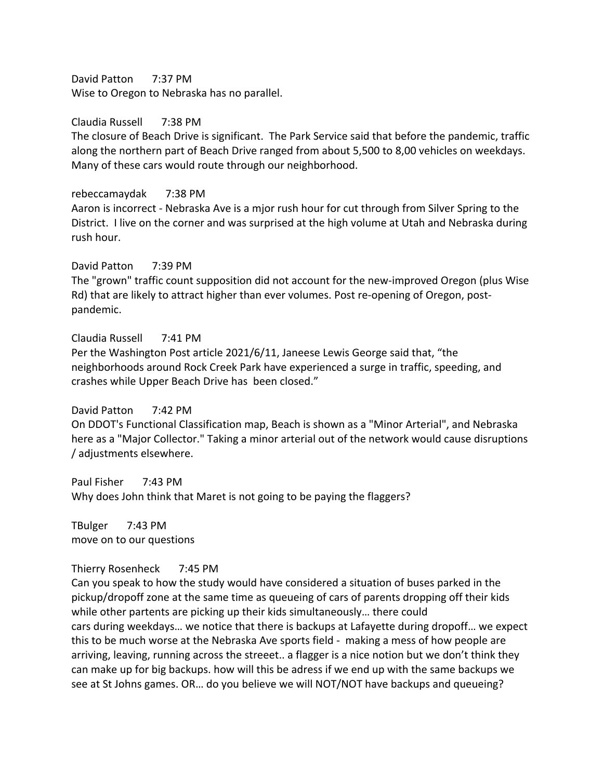David Patton 7:37 PM Wise to Oregon to Nebraska has no parallel.

Claudia Russell 7:38 PM

The closure of Beach Drive is significant. The Park Service said that before the pandemic, traffic along the northern part of Beach Drive ranged from about 5,500 to 8,00 vehicles on weekdays. Many of these cars would route through our neighborhood.

rebeccamaydak 7:38 PM

Aaron is incorrect - Nebraska Ave is a mjor rush hour for cut through from Silver Spring to the District. I live on the corner and was surprised at the high volume at Utah and Nebraska during rush hour.

David Patton 7:39 PM The "grown" traffic count supposition did not account for the new-improved Oregon (plus Wise Rd) that are likely to attract higher than ever volumes. Post re-opening of Oregon, postpandemic.

Claudia Russell 7:41 PM

Per the Washington Post article 2021/6/11, Janeese Lewis George said that, "the neighborhoods around Rock Creek Park have experienced a surge in traffic, speeding, and crashes while Upper Beach Drive has been closed."

David Patton 7:42 PM

On DDOT's Functional Classification map, Beach is shown as a "Minor Arterial", and Nebraska here as a "Major Collector." Taking a minor arterial out of the network would cause disruptions / adjustments elsewhere.

Paul Fisher 7:43 PM Why does John think that Maret is not going to be paying the flaggers?

TBulger 7:43 PM move on to our questions

#### Thierry Rosenheck 7:45 PM

Can you speak to how the study would have considered a situation of buses parked in the pickup/dropoff zone at the same time as queueing of cars of parents dropping off their kids while other partents are picking up their kids simultaneously… there could cars during weekdays… we notice that there is backups at Lafayette during dropoff… we expect this to be much worse at the Nebraska Ave sports field - making a mess of how people are arriving, leaving, running across the streeet.. a flagger is a nice notion but we don't think they can make up for big backups. how will this be adress if we end up with the same backups we see at St Johns games. OR… do you believe we will NOT/NOT have backups and queueing?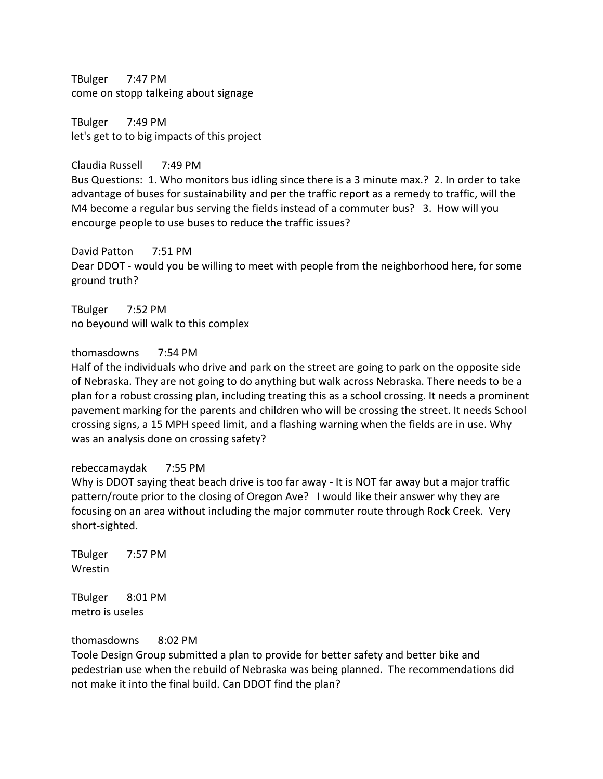TBulger 7:47 PM come on stopp talkeing about signage

TBulger 7:49 PM let's get to to big impacts of this project

Claudia Russell 7:49 PM Bus Questions: 1. Who monitors bus idling since there is a 3 minute max.? 2. In order to take advantage of buses for sustainability and per the traffic report as a remedy to traffic, will the M4 become a regular bus serving the fields instead of a commuter bus? 3. How will you encourge people to use buses to reduce the traffic issues?

David Patton 7:51 PM

Dear DDOT - would you be willing to meet with people from the neighborhood here, for some ground truth?

TBulger 7:52 PM no beyound will walk to this complex

thomasdowns 7:54 PM

Half of the individuals who drive and park on the street are going to park on the opposite side of Nebraska. They are not going to do anything but walk across Nebraska. There needs to be a plan for a robust crossing plan, including treating this as a school crossing. It needs a prominent pavement marking for the parents and children who will be crossing the street. It needs School crossing signs, a 15 MPH speed limit, and a flashing warning when the fields are in use. Why was an analysis done on crossing safety?

#### rebeccamaydak 7:55 PM

Why is DDOT saying theat beach drive is too far away - It is NOT far away but a major traffic pattern/route prior to the closing of Oregon Ave? I would like their answer why they are focusing on an area without including the major commuter route through Rock Creek. Very short-sighted.

TBulger 7:57 PM Wrestin

TBulger 8:01 PM metro is useles

thomasdowns 8:02 PM

Toole Design Group submitted a plan to provide for better safety and better bike and pedestrian use when the rebuild of Nebraska was being planned. The recommendations did not make it into the final build. Can DDOT find the plan?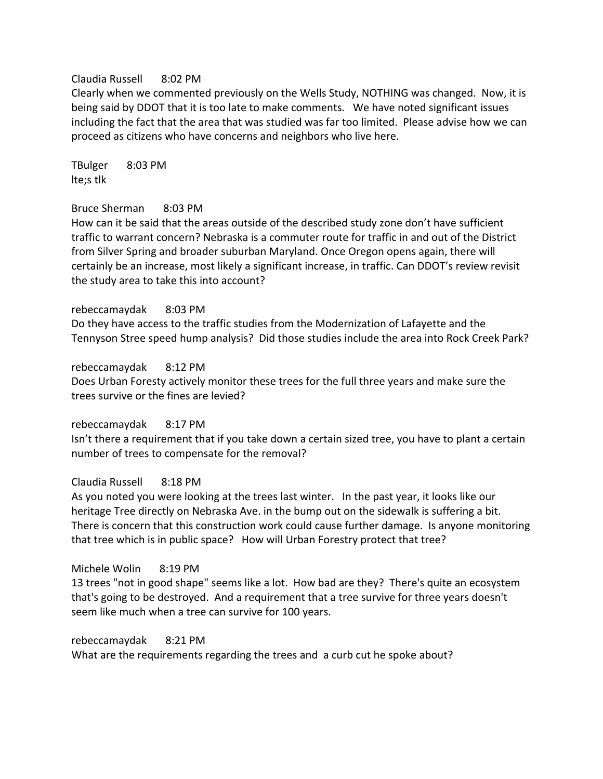#### Claudia Russell 8:02 PM

Clearly when we commented previously on the Wells Study, NOTHING was changed. Now, it is being said by DDOT that it is too late to make comments. We have noted significant issues including the fact that the area that was studied was far too limited. Please advise how we can proceed as citizens who have concerns and neighbors who live here.

TBulger 8:03 PM lte;s tlk

#### Bruce Sherman 8:03 PM

How can it be said that the areas outside of the described study zone don't have sufficient traffic to warrant concern? Nebraska is a commuter route for traffic in and out of the District from Silver Spring and broader suburban Maryland. Once Oregon opens again, there will certainly be an increase, most likely a significant increase, in traffic. Can DDOT's review revisit the study area to take this into account?

rebeccamaydak 8:03 PM

Do they have access to the traffic studies from the Modernization of Lafayette and the Tennyson Stree speed hump analysis? Did those studies include the area into Rock Creek Park?

rebeccamaydak 8:12 PM Does Urban Foresty actively monitor these trees for the full three years and make sure the trees survive or the fines are levied?

rebeccamaydak 8:17 PM Isn't there a requirement that if you take down a certain sized tree, you have to plant a certain number of trees to compensate for the removal?

## Claudia Russell 8:18 PM

As you noted you were looking at the trees last winter. In the past year, it looks like our heritage Tree directly on Nebraska Ave. in the bump out on the sidewalk is suffering a bit. There is concern that this construction work could cause further damage. Is anyone monitoring that tree which is in public space? How will Urban Forestry protect that tree?

#### Michele Wolin 8:19 PM

13 trees "not in good shape" seems like a lot. How bad are they? There's quite an ecosystem that's going to be destroyed. And a requirement that a tree survive for three years doesn't seem like much when a tree can survive for 100 years.

rebeccamaydak 8:21 PM

What are the requirements regarding the trees and a curb cut he spoke about?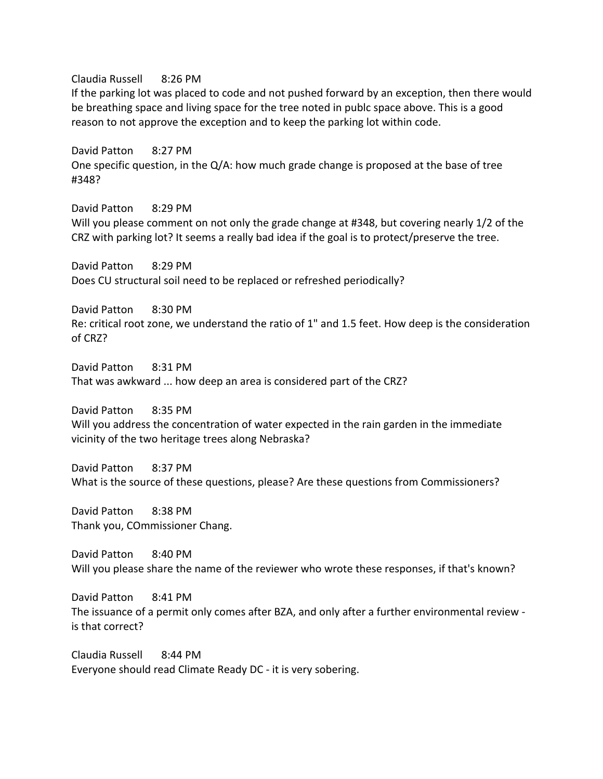Claudia Russell 8:26 PM If the parking lot was placed to code and not pushed forward by an exception, then there would be breathing space and living space for the tree noted in publc space above. This is a good reason to not approve the exception and to keep the parking lot within code.

David Patton 8:27 PM One specific question, in the Q/A: how much grade change is proposed at the base of tree #348?

David Patton 8:29 PM Will you please comment on not only the grade change at #348, but covering nearly 1/2 of the CRZ with parking lot? It seems a really bad idea if the goal is to protect/preserve the tree.

David Patton 8:29 PM Does CU structural soil need to be replaced or refreshed periodically?

David Patton 8:30 PM Re: critical root zone, we understand the ratio of 1" and 1.5 feet. How deep is the consideration of CRZ?

David Patton 8:31 PM That was awkward ... how deep an area is considered part of the CRZ?

David Patton 8:35 PM Will you address the concentration of water expected in the rain garden in the immediate vicinity of the two heritage trees along Nebraska?

David Patton 8:37 PM What is the source of these questions, please? Are these questions from Commissioners?

David Patton 8:38 PM Thank you, COmmissioner Chang.

David Patton 8:40 PM Will you please share the name of the reviewer who wrote these responses, if that's known?

David Patton 8:41 PM The issuance of a permit only comes after BZA, and only after a further environmental review is that correct?

Claudia Russell 8:44 PM Everyone should read Climate Ready DC - it is very sobering.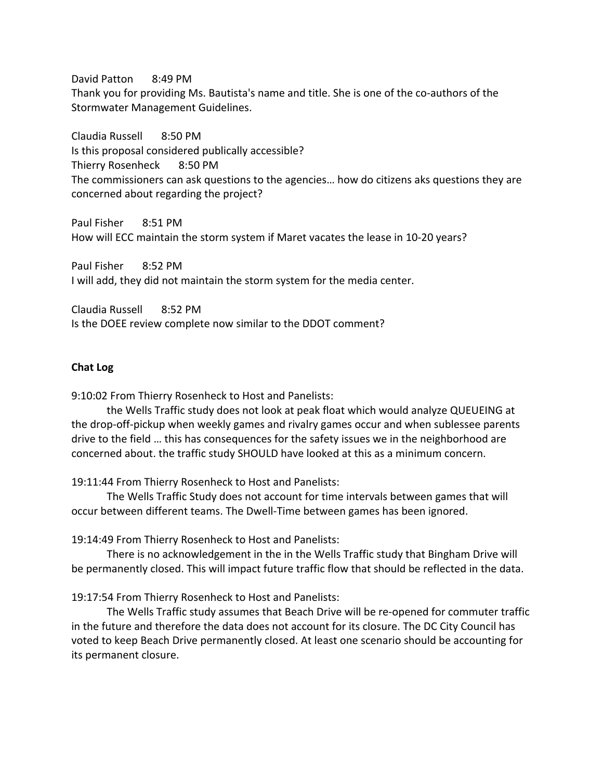David Patton 8:49 PM Thank you for providing Ms. Bautista's name and title. She is one of the co-authors of the Stormwater Management Guidelines.

Claudia Russell 8:50 PM Is this proposal considered publically accessible? Thierry Rosenheck 8:50 PM The commissioners can ask questions to the agencies… how do citizens aks questions they are concerned about regarding the project?

Paul Fisher 8:51 PM How will ECC maintain the storm system if Maret vacates the lease in 10-20 years?

Paul Fisher 8:52 PM I will add, they did not maintain the storm system for the media center.

Claudia Russell 8:52 PM Is the DOEE review complete now similar to the DDOT comment?

#### **Chat Log**

9:10:02 From Thierry Rosenheck to Host and Panelists:

the Wells Traffic study does not look at peak float which would analyze QUEUEING at the drop-off-pickup when weekly games and rivalry games occur and when sublessee parents drive to the field … this has consequences for the safety issues we in the neighborhood are concerned about. the traffic study SHOULD have looked at this as a minimum concern.

19:11:44 From Thierry Rosenheck to Host and Panelists:

The Wells Traffic Study does not account for time intervals between games that will occur between different teams. The Dwell-Time between games has been ignored.

19:14:49 From Thierry Rosenheck to Host and Panelists:

There is no acknowledgement in the in the Wells Traffic study that Bingham Drive will be permanently closed. This will impact future traffic flow that should be reflected in the data.

19:17:54 From Thierry Rosenheck to Host and Panelists:

The Wells Traffic study assumes that Beach Drive will be re-opened for commuter traffic in the future and therefore the data does not account for its closure. The DC City Council has voted to keep Beach Drive permanently closed. At least one scenario should be accounting for its permanent closure.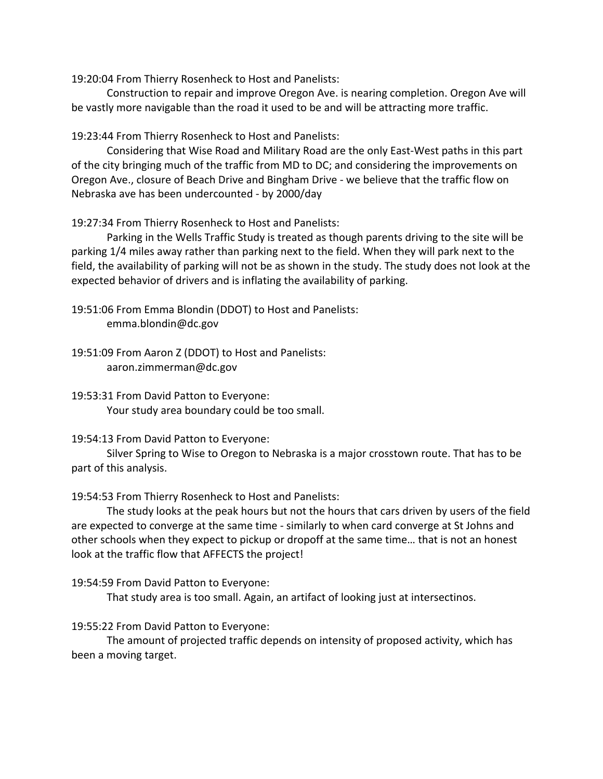19:20:04 From Thierry Rosenheck to Host and Panelists:

Construction to repair and improve Oregon Ave. is nearing completion. Oregon Ave will be vastly more navigable than the road it used to be and will be attracting more traffic.

19:23:44 From Thierry Rosenheck to Host and Panelists:

Considering that Wise Road and Military Road are the only East-West paths in this part of the city bringing much of the traffic from MD to DC; and considering the improvements on Oregon Ave., closure of Beach Drive and Bingham Drive - we believe that the traffic flow on Nebraska ave has been undercounted - by 2000/day

19:27:34 From Thierry Rosenheck to Host and Panelists:

Parking in the Wells Traffic Study is treated as though parents driving to the site will be parking 1/4 miles away rather than parking next to the field. When they will park next to the field, the availability of parking will not be as shown in the study. The study does not look at the expected behavior of drivers and is inflating the availability of parking.

19:51:06 From Emma Blondin (DDOT) to Host and Panelists: emma.blondin@dc.gov

19:51:09 From Aaron Z (DDOT) to Host and Panelists: aaron.zimmerman@dc.gov

19:53:31 From David Patton to Everyone: Your study area boundary could be too small.

## 19:54:13 From David Patton to Everyone:

Silver Spring to Wise to Oregon to Nebraska is a major crosstown route. That has to be part of this analysis.

19:54:53 From Thierry Rosenheck to Host and Panelists:

The study looks at the peak hours but not the hours that cars driven by users of the field are expected to converge at the same time - similarly to when card converge at St Johns and other schools when they expect to pickup or dropoff at the same time… that is not an honest look at the traffic flow that AFFECTS the project!

19:54:59 From David Patton to Everyone:

That study area is too small. Again, an artifact of looking just at intersectinos.

# 19:55:22 From David Patton to Everyone:

The amount of projected traffic depends on intensity of proposed activity, which has been a moving target.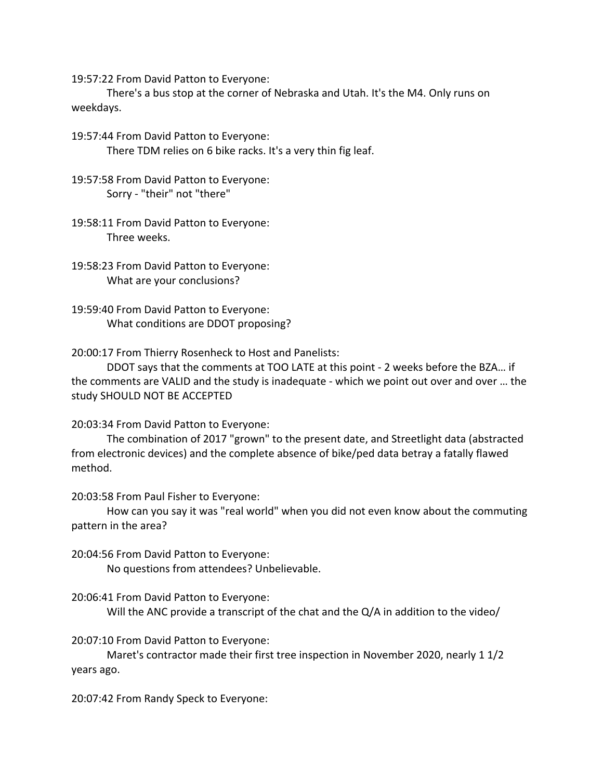19:57:22 From David Patton to Everyone:

There's a bus stop at the corner of Nebraska and Utah. It's the M4. Only runs on weekdays.

19:57:44 From David Patton to Everyone: There TDM relies on 6 bike racks. It's a very thin fig leaf.

19:57:58 From David Patton to Everyone: Sorry - "their" not "there"

19:58:11 From David Patton to Everyone: Three weeks.

19:58:23 From David Patton to Everyone: What are your conclusions?

19:59:40 From David Patton to Everyone: What conditions are DDOT proposing?

20:00:17 From Thierry Rosenheck to Host and Panelists:

DDOT says that the comments at TOO LATE at this point - 2 weeks before the BZA… if the comments are VALID and the study is inadequate - which we point out over and over … the study SHOULD NOT BE ACCEPTED

20:03:34 From David Patton to Everyone:

The combination of 2017 "grown" to the present date, and Streetlight data (abstracted from electronic devices) and the complete absence of bike/ped data betray a fatally flawed method.

20:03:58 From Paul Fisher to Everyone:

How can you say it was "real world" when you did not even know about the commuting pattern in the area?

20:04:56 From David Patton to Everyone: No questions from attendees? Unbelievable.

20:06:41 From David Patton to Everyone:

Will the ANC provide a transcript of the chat and the Q/A in addition to the video/

20:07:10 From David Patton to Everyone:

Maret's contractor made their first tree inspection in November 2020, nearly 1 1/2 years ago.

20:07:42 From Randy Speck to Everyone: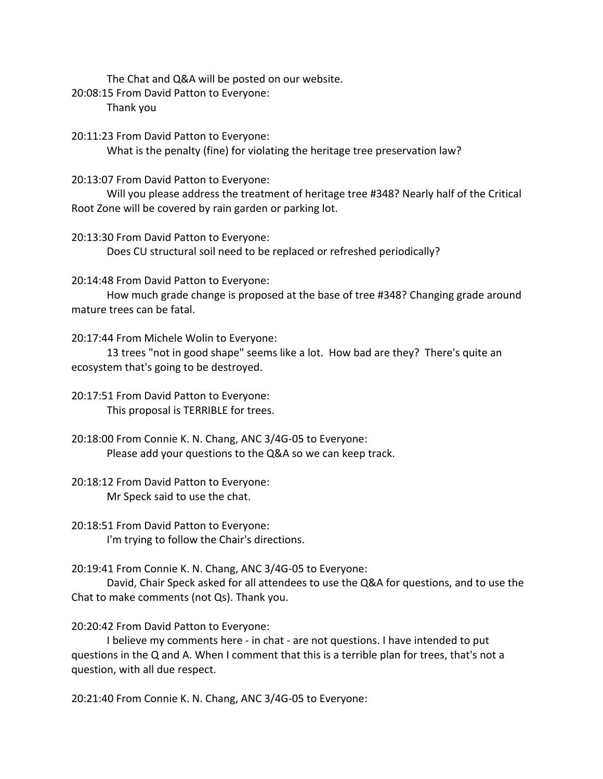The Chat and Q&A will be posted on our website.

20:08:15 From David Patton to Everyone: Thank you

20:11:23 From David Patton to Everyone: What is the penalty (fine) for violating the heritage tree preservation law?

20:13:07 From David Patton to Everyone:

Will you please address the treatment of heritage tree #348? Nearly half of the Critical Root Zone will be covered by rain garden or parking lot.

20:13:30 From David Patton to Everyone:

Does CU structural soil need to be replaced or refreshed periodically?

20:14:48 From David Patton to Everyone:

How much grade change is proposed at the base of tree #348? Changing grade around mature trees can be fatal.

20:17:44 From Michele Wolin to Everyone:

13 trees "not in good shape" seems like a lot. How bad are they? There's quite an ecosystem that's going to be destroyed.

20:17:51 From David Patton to Everyone: This proposal is TERRIBLE for trees.

20:18:00 From Connie K. N. Chang, ANC 3/4G-05 to Everyone: Please add your questions to the Q&A so we can keep track.

20:18:12 From David Patton to Everyone: Mr Speck said to use the chat.

20:18:51 From David Patton to Everyone: I'm trying to follow the Chair's directions.

20:19:41 From Connie K. N. Chang, ANC 3/4G-05 to Everyone:

David, Chair Speck asked for all attendees to use the Q&A for questions, and to use the Chat to make comments (not Qs). Thank you.

# 20:20:42 From David Patton to Everyone:

I believe my comments here - in chat - are not questions. I have intended to put questions in the Q and A. When I comment that this is a terrible plan for trees, that's not a question, with all due respect.

20:21:40 From Connie K. N. Chang, ANC 3/4G-05 to Everyone: